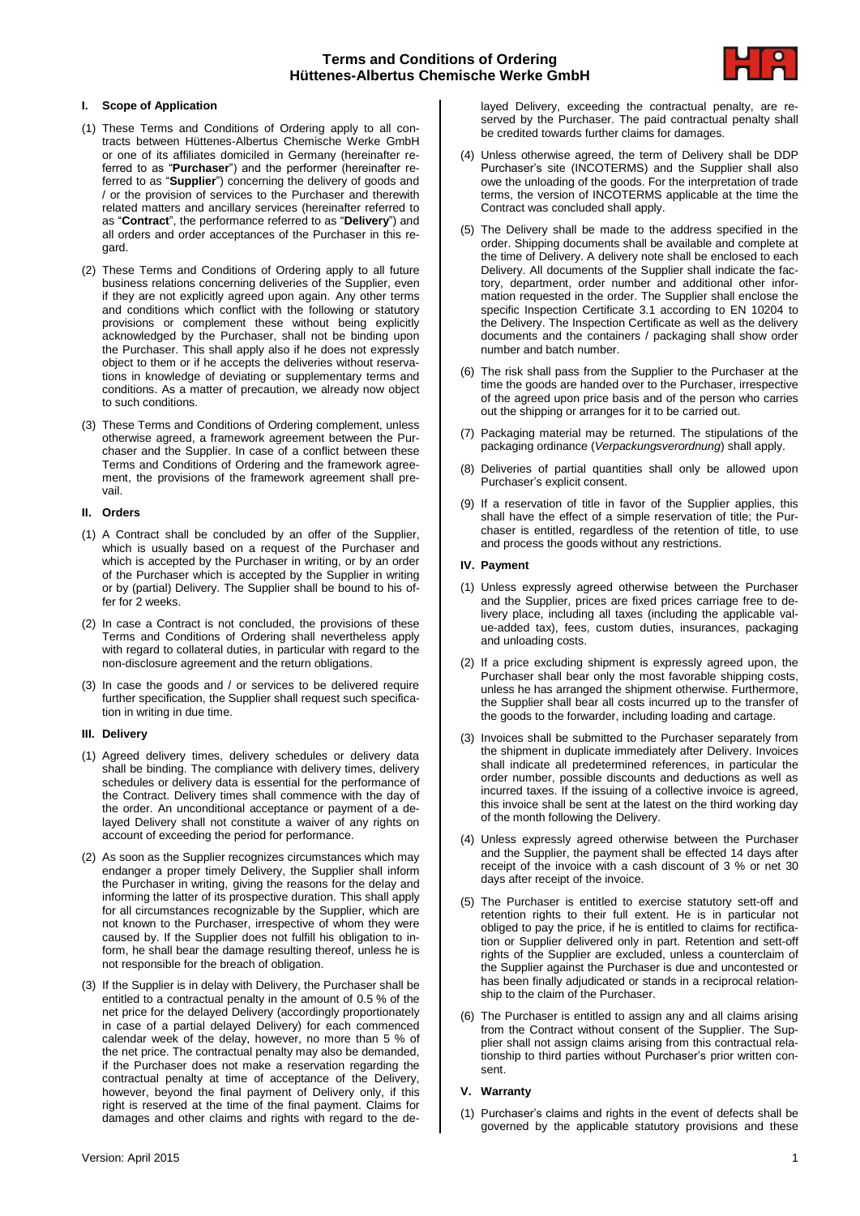# **Terms and Conditions of Ordering Hüttenes-Albertus Chemische Werke GmbH**



## **I. Scope of Application**

- (1) These Terms and Conditions of Ordering apply to all contracts between Hüttenes-Albertus Chemische Werke GmbH or one of its affiliates domiciled in Germany (hereinafter referred to as "**Purchaser**") and the performer (hereinafter referred to as "**Supplier**") concerning the delivery of goods and / or the provision of services to the Purchaser and therewith related matters and ancillary services (hereinafter referred to as "**Contract**", the performance referred to as "**Delivery**") and all orders and order acceptances of the Purchaser in this regard.
- (2) These Terms and Conditions of Ordering apply to all future business relations concerning deliveries of the Supplier, even if they are not explicitly agreed upon again. Any other terms and conditions which conflict with the following or statutory provisions or complement these without being explicitly acknowledged by the Purchaser, shall not be binding upon the Purchaser. This shall apply also if he does not expressly object to them or if he accepts the deliveries without reservations in knowledge of deviating or supplementary terms and conditions. As a matter of precaution, we already now object to such conditions.
- (3) These Terms and Conditions of Ordering complement, unless otherwise agreed, a framework agreement between the Purchaser and the Supplier. In case of a conflict between these Terms and Conditions of Ordering and the framework agreement, the provisions of the framework agreement shall prevail.

### **II. Orders**

- (1) A Contract shall be concluded by an offer of the Supplier, which is usually based on a request of the Purchaser and which is accepted by the Purchaser in writing, or by an order of the Purchaser which is accepted by the Supplier in writing or by (partial) Delivery. The Supplier shall be bound to his offer for 2 weeks.
- (2) In case a Contract is not concluded, the provisions of these Terms and Conditions of Ordering shall nevertheless apply with regard to collateral duties, in particular with regard to the non-disclosure agreement and the return obligations.
- (3) In case the goods and / or services to be delivered require further specification, the Supplier shall request such specification in writing in due time.

### **III. Delivery**

- (1) Agreed delivery times, delivery schedules or delivery data shall be binding. The compliance with delivery times, delivery schedules or delivery data is essential for the performance of the Contract. Delivery times shall commence with the day of the order. An unconditional acceptance or payment of a delayed Delivery shall not constitute a waiver of any rights on account of exceeding the period for performance.
- (2) As soon as the Supplier recognizes circumstances which may endanger a proper timely Delivery, the Supplier shall inform the Purchaser in writing, giving the reasons for the delay and informing the latter of its prospective duration. This shall apply for all circumstances recognizable by the Supplier, which are not known to the Purchaser, irrespective of whom they were caused by. If the Supplier does not fulfill his obligation to inform, he shall bear the damage resulting thereof, unless he is not responsible for the breach of obligation.
- (3) If the Supplier is in delay with Delivery, the Purchaser shall be entitled to a contractual penalty in the amount of 0.5 % of the net price for the delayed Delivery (accordingly proportionately in case of a partial delayed Delivery) for each commenced calendar week of the delay, however, no more than 5 % of the net price. The contractual penalty may also be demanded, if the Purchaser does not make a reservation regarding the contractual penalty at time of acceptance of the Delivery, however, beyond the final payment of Delivery only, if this right is reserved at the time of the final payment. Claims for damages and other claims and rights with regard to the de-

layed Delivery, exceeding the contractual penalty, are reserved by the Purchaser. The paid contractual penalty shall be credited towards further claims for damages.

- (4) Unless otherwise agreed, the term of Delivery shall be DDP Purchaser's site (INCOTERMS) and the Supplier shall also owe the unloading of the goods. For the interpretation of trade terms, the version of INCOTERMS applicable at the time the Contract was concluded shall apply.
- (5) The Delivery shall be made to the address specified in the order. Shipping documents shall be available and complete at the time of Delivery. A delivery note shall be enclosed to each Delivery. All documents of the Supplier shall indicate the factory, department, order number and additional other information requested in the order. The Supplier shall enclose the specific Inspection Certificate 3.1 according to EN 10204 to the Delivery. The Inspection Certificate as well as the delivery documents and the containers / packaging shall show order number and batch number.
- (6) The risk shall pass from the Supplier to the Purchaser at the time the goods are handed over to the Purchaser, irrespective of the agreed upon price basis and of the person who carries out the shipping or arranges for it to be carried out.
- (7) Packaging material may be returned. The stipulations of the packaging ordinance (*Verpackungsverordnung*) shall apply.
- (8) Deliveries of partial quantities shall only be allowed upon Purchaser's explicit consent.
- (9) If a reservation of title in favor of the Supplier applies, this shall have the effect of a simple reservation of title; the Purchaser is entitled, regardless of the retention of title, to use and process the goods without any restrictions.

#### **IV. Payment**

- (1) Unless expressly agreed otherwise between the Purchaser and the Supplier, prices are fixed prices carriage free to delivery place, including all taxes (including the applicable value-added tax), fees, custom duties, insurances, packaging and unloading costs.
- (2) If a price excluding shipment is expressly agreed upon, the Purchaser shall bear only the most favorable shipping costs, unless he has arranged the shipment otherwise. Furthermore, the Supplier shall bear all costs incurred up to the transfer of the goods to the forwarder, including loading and cartage.
- (3) Invoices shall be submitted to the Purchaser separately from the shipment in duplicate immediately after Delivery. Invoices shall indicate all predetermined references, in particular the order number, possible discounts and deductions as well as incurred taxes. If the issuing of a collective invoice is agreed, this invoice shall be sent at the latest on the third working day of the month following the Delivery.
- (4) Unless expressly agreed otherwise between the Purchaser and the Supplier, the payment shall be effected 14 days after receipt of the invoice with a cash discount of 3 % or net 30 days after receipt of the invoice.
- (5) The Purchaser is entitled to exercise statutory sett-off and retention rights to their full extent. He is in particular not obliged to pay the price, if he is entitled to claims for rectification or Supplier delivered only in part. Retention and sett-off rights of the Supplier are excluded, unless a counterclaim of the Supplier against the Purchaser is due and uncontested or has been finally adjudicated or stands in a reciprocal relationship to the claim of the Purchaser.
- (6) The Purchaser is entitled to assign any and all claims arising from the Contract without consent of the Supplier. The Supplier shall not assign claims arising from this contractual relationship to third parties without Purchaser's prior written consent.

## **V. Warranty**

(1) Purchaser's claims and rights in the event of defects shall be governed by the applicable statutory provisions and these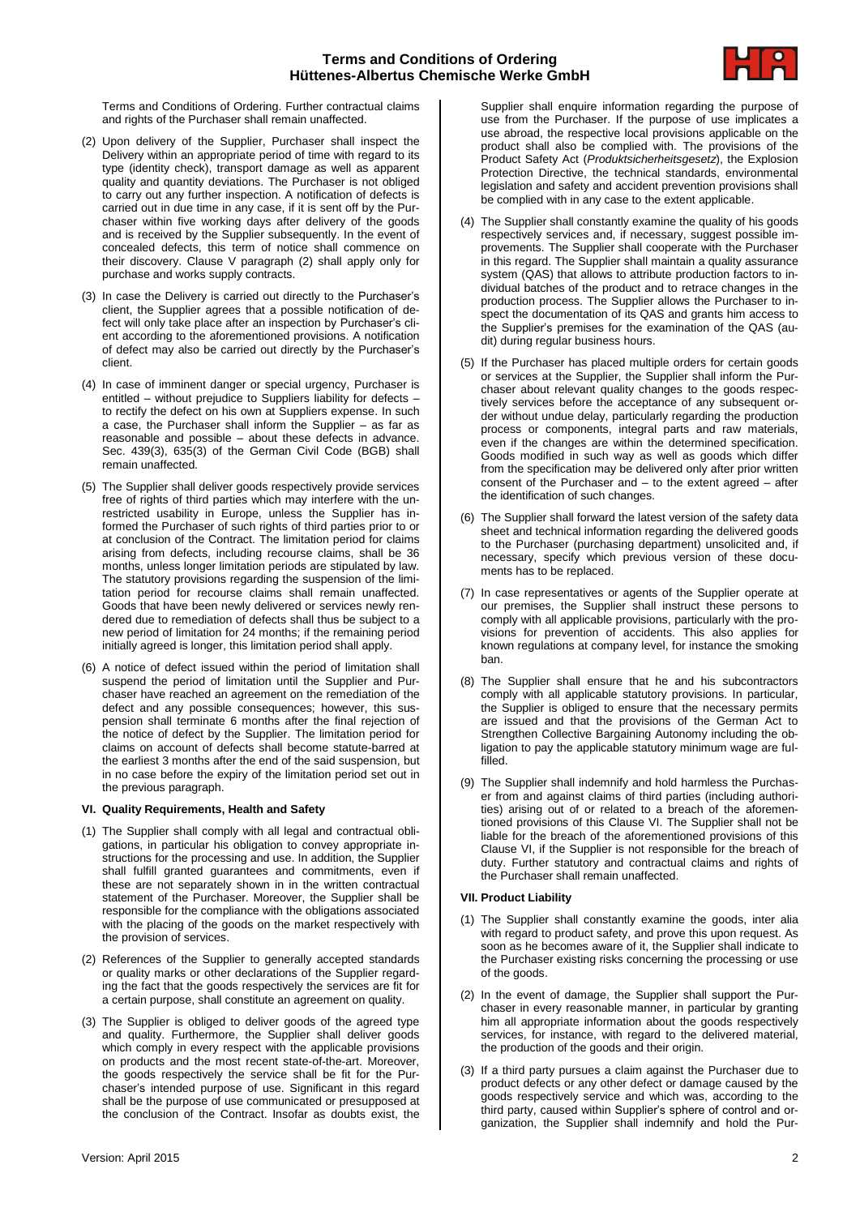

Terms and Conditions of Ordering. Further contractual claims and rights of the Purchaser shall remain unaffected.

- (2) Upon delivery of the Supplier, Purchaser shall inspect the Delivery within an appropriate period of time with regard to its type (identity check), transport damage as well as apparent quality and quantity deviations. The Purchaser is not obliged to carry out any further inspection. A notification of defects is carried out in due time in any case, if it is sent off by the Purchaser within five working days after delivery of the goods and is received by the Supplier subsequently. In the event of concealed defects, this term of notice shall commence on their discovery. Clause V paragraph (2) shall apply only for purchase and works supply contracts.
- (3) In case the Delivery is carried out directly to the Purchaser's client, the Supplier agrees that a possible notification of defect will only take place after an inspection by Purchaser's client according to the aforementioned provisions. A notification of defect may also be carried out directly by the Purchaser's client.
- (4) In case of imminent danger or special urgency, Purchaser is entitled – without prejudice to Suppliers liability for defects – to rectify the defect on his own at Suppliers expense. In such a case, the Purchaser shall inform the Supplier – as far as reasonable and possible – about these defects in advance. Sec. 439(3), 635(3) of the German Civil Code (BGB) shall remain unaffected.
- (5) The Supplier shall deliver goods respectively provide services free of rights of third parties which may interfere with the unrestricted usability in Europe, unless the Supplier has informed the Purchaser of such rights of third parties prior to or at conclusion of the Contract. The limitation period for claims arising from defects, including recourse claims, shall be 36 months, unless longer limitation periods are stipulated by law. The statutory provisions regarding the suspension of the limitation period for recourse claims shall remain unaffected. Goods that have been newly delivered or services newly rendered due to remediation of defects shall thus be subject to a new period of limitation for 24 months; if the remaining period initially agreed is longer, this limitation period shall apply.
- (6) A notice of defect issued within the period of limitation shall suspend the period of limitation until the Supplier and Purchaser have reached an agreement on the remediation of the defect and any possible consequences; however, this suspension shall terminate 6 months after the final rejection of the notice of defect by the Supplier. The limitation period for claims on account of defects shall become statute-barred at the earliest 3 months after the end of the said suspension, but in no case before the expiry of the limitation period set out in the previous paragraph.

### **VI. Quality Requirements, Health and Safety**

- (1) The Supplier shall comply with all legal and contractual obligations, in particular his obligation to convey appropriate instructions for the processing and use. In addition, the Supplier shall fulfill granted guarantees and commitments, even if these are not separately shown in in the written contractual statement of the Purchaser. Moreover, the Supplier shall be responsible for the compliance with the obligations associated with the placing of the goods on the market respectively with the provision of services.
- (2) References of the Supplier to generally accepted standards or quality marks or other declarations of the Supplier regarding the fact that the goods respectively the services are fit for a certain purpose, shall constitute an agreement on quality.
- (3) The Supplier is obliged to deliver goods of the agreed type and quality. Furthermore, the Supplier shall deliver goods which comply in every respect with the applicable provisions on products and the most recent state-of-the-art. Moreover, the goods respectively the service shall be fit for the Purchaser's intended purpose of use. Significant in this regard shall be the purpose of use communicated or presupposed at the conclusion of the Contract. Insofar as doubts exist, the

Supplier shall enquire information regarding the purpose of use from the Purchaser. If the purpose of use implicates a use abroad, the respective local provisions applicable on the product shall also be complied with. The provisions of the Product Safety Act (*Produktsicherheitsgesetz*), the Explosion Protection Directive, the technical standards, environmental legislation and safety and accident prevention provisions shall be complied with in any case to the extent applicable.

- (4) The Supplier shall constantly examine the quality of his goods respectively services and, if necessary, suggest possible improvements. The Supplier shall cooperate with the Purchaser in this regard. The Supplier shall maintain a quality assurance system (QAS) that allows to attribute production factors to individual batches of the product and to retrace changes in the production process. The Supplier allows the Purchaser to inspect the documentation of its QAS and grants him access to the Supplier's premises for the examination of the QAS (audit) during regular business hours.
- (5) If the Purchaser has placed multiple orders for certain goods or services at the Supplier, the Supplier shall inform the Purchaser about relevant quality changes to the goods respectively services before the acceptance of any subsequent order without undue delay, particularly regarding the production process or components, integral parts and raw materials, even if the changes are within the determined specification. Goods modified in such way as well as goods which differ from the specification may be delivered only after prior written consent of the Purchaser and – to the extent agreed – after the identification of such changes.
- (6) The Supplier shall forward the latest version of the safety data sheet and technical information regarding the delivered goods to the Purchaser (purchasing department) unsolicited and, if necessary, specify which previous version of these documents has to be replaced.
- (7) In case representatives or agents of the Supplier operate at our premises, the Supplier shall instruct these persons to comply with all applicable provisions, particularly with the provisions for prevention of accidents. This also applies for known regulations at company level, for instance the smoking ban.
- (8) The Supplier shall ensure that he and his subcontractors comply with all applicable statutory provisions. In particular, the Supplier is obliged to ensure that the necessary permits are issued and that the provisions of the German Act to Strengthen Collective Bargaining Autonomy including the obligation to pay the applicable statutory minimum wage are fulfilled.
- (9) The Supplier shall indemnify and hold harmless the Purchaser from and against claims of third parties (including authorities) arising out of or related to a breach of the aforementioned provisions of this Clause VI. The Supplier shall not be liable for the breach of the aforementioned provisions of this Clause VI, if the Supplier is not responsible for the breach of duty. Further statutory and contractual claims and rights of the Purchaser shall remain unaffected.

### **VII. Product Liability**

- (1) The Supplier shall constantly examine the goods, inter alia with regard to product safety, and prove this upon request. As soon as he becomes aware of it, the Supplier shall indicate to the Purchaser existing risks concerning the processing or use of the goods.
- (2) In the event of damage, the Supplier shall support the Purchaser in every reasonable manner, in particular by granting him all appropriate information about the goods respectively services, for instance, with regard to the delivered material, the production of the goods and their origin.
- (3) If a third party pursues a claim against the Purchaser due to product defects or any other defect or damage caused by the goods respectively service and which was, according to the third party, caused within Supplier's sphere of control and organization, the Supplier shall indemnify and hold the Pur-